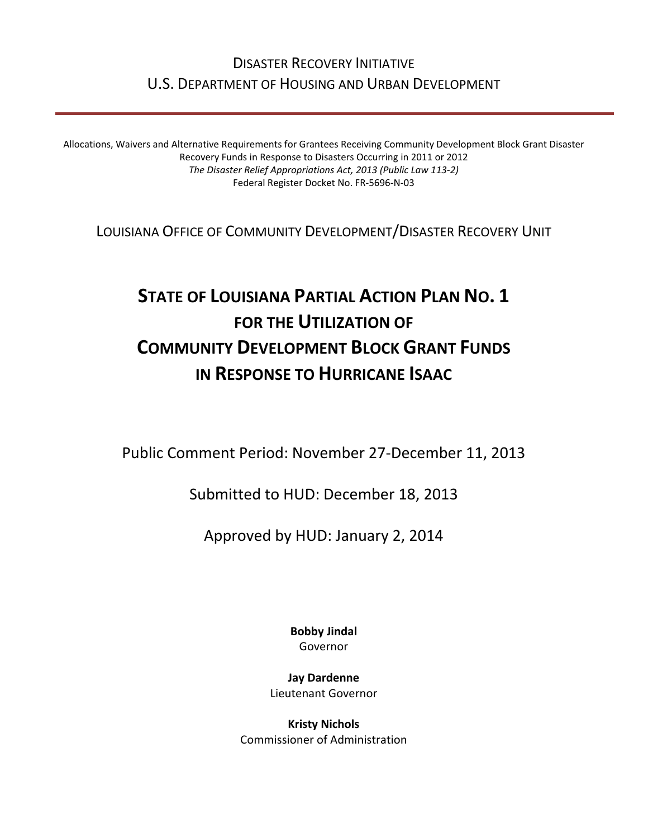## DISASTER RECOVERY INITIATIVE U.S. DEPARTMENT OF HOUSING AND URBAN DEVELOPMENT

Allocations, Waivers and Alternative Requirements for Grantees Receiving Community Development Block Grant Disaster Recovery Funds in Response to Disasters Occurring in 2011 or 2012 *The Disaster Relief Appropriations Act, 2013 (Public Law 113‐2)* Federal Register Docket No. FR‐5696‐N‐03

LOUISIANA OFFICE OF COMMUNITY DEVELOPMENT/DISASTER RECOVERY UNIT

# **STATE OF LOUISIANA PARTIAL ACTION PLAN NO. 1 FOR THE UTILIZATION OF COMMUNITY DEVELOPMENT BLOCK GRANT FUNDS IN RESPONSE TO HURRICANE ISAAC**

Public Comment Period: November 27‐December 11, 2013

Submitted to HUD: December 18, 2013

Approved by HUD: January 2, 2014

**Bobby Jindal** Governor

**Jay Dardenne** Lieutenant Governor

**Kristy Nichols** Commissioner of Administration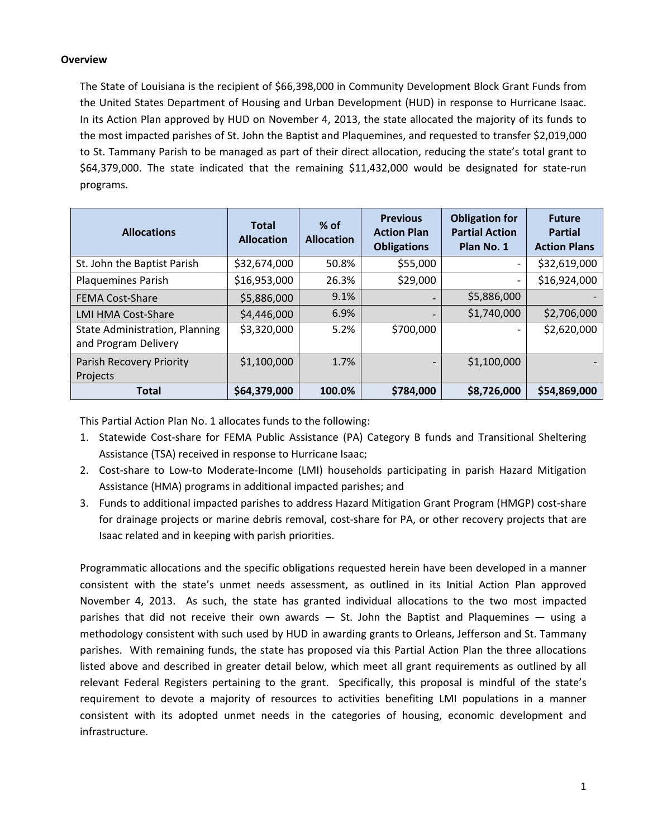#### **Overview**

The State of Louisiana is the recipient of \$66,398,000 in Community Development Block Grant Funds from the United States Department of Housing and Urban Development (HUD) in response to Hurricane Isaac. In its Action Plan approved by HUD on November 4, 2013, the state allocated the majority of its funds to the most impacted parishes of St. John the Baptist and Plaquemines, and requested to transfer \$2,019,000 to St. Tammany Parish to be managed as part of their direct allocation, reducing the state's total grant to \$64,379,000. The state indicated that the remaining \$11,432,000 would be designated for state-run programs.

| <b>Allocations</b>                                            | <b>Total</b><br><b>Allocation</b> | $%$ of<br><b>Allocation</b> | <b>Previous</b><br><b>Action Plan</b><br><b>Obligations</b> | <b>Obligation for</b><br><b>Partial Action</b><br>Plan No. 1 | <b>Future</b><br><b>Partial</b><br><b>Action Plans</b> |
|---------------------------------------------------------------|-----------------------------------|-----------------------------|-------------------------------------------------------------|--------------------------------------------------------------|--------------------------------------------------------|
| St. John the Baptist Parish                                   | \$32,674,000                      | 50.8%                       | \$55,000                                                    |                                                              | \$32,619,000                                           |
| <b>Plaquemines Parish</b>                                     | \$16,953,000                      | 26.3%                       | \$29,000                                                    |                                                              | \$16,924,000                                           |
| <b>FEMA Cost-Share</b>                                        | \$5,886,000                       | 9.1%                        |                                                             | \$5,886,000                                                  |                                                        |
| <b>LMI HMA Cost-Share</b>                                     | \$4,446,000                       | 6.9%                        | -                                                           | \$1,740,000                                                  | \$2,706,000                                            |
| <b>State Administration, Planning</b><br>and Program Delivery | \$3,320,000                       | 5.2%                        | \$700,000                                                   |                                                              | \$2,620,000                                            |
| Parish Recovery Priority                                      | \$1,100,000                       | 1.7%                        |                                                             | \$1,100,000                                                  |                                                        |
| Projects                                                      |                                   |                             |                                                             |                                                              |                                                        |
| <b>Total</b>                                                  | \$64,379,000                      | 100.0%                      | \$784,000                                                   | \$8,726,000                                                  | \$54,869,000                                           |

This Partial Action Plan No. 1 allocates funds to the following:

- 1. Statewide Cost‐share for FEMA Public Assistance (PA) Category B funds and Transitional Sheltering Assistance (TSA) received in response to Hurricane Isaac;
- 2. Cost-share to Low-to Moderate-Income (LMI) households participating in parish Hazard Mitigation Assistance (HMA) programs in additional impacted parishes; and
- 3. Funds to additional impacted parishes to address Hazard Mitigation Grant Program (HMGP) cost‐share for drainage projects or marine debris removal, cost-share for PA, or other recovery projects that are Isaac related and in keeping with parish priorities.

Programmatic allocations and the specific obligations requested herein have been developed in a manner consistent with the state's unmet needs assessment, as outlined in its Initial Action Plan approved November 4, 2013. As such, the state has granted individual allocations to the two most impacted parishes that did not receive their own awards  $-$  St. John the Baptist and Plaquemines  $-$  using a methodology consistent with such used by HUD in awarding grants to Orleans, Jefferson and St. Tammany parishes. With remaining funds, the state has proposed via this Partial Action Plan the three allocations listed above and described in greater detail below, which meet all grant requirements as outlined by all relevant Federal Registers pertaining to the grant. Specifically, this proposal is mindful of the state's requirement to devote a majority of resources to activities benefiting LMI populations in a manner consistent with its adopted unmet needs in the categories of housing, economic development and infrastructure.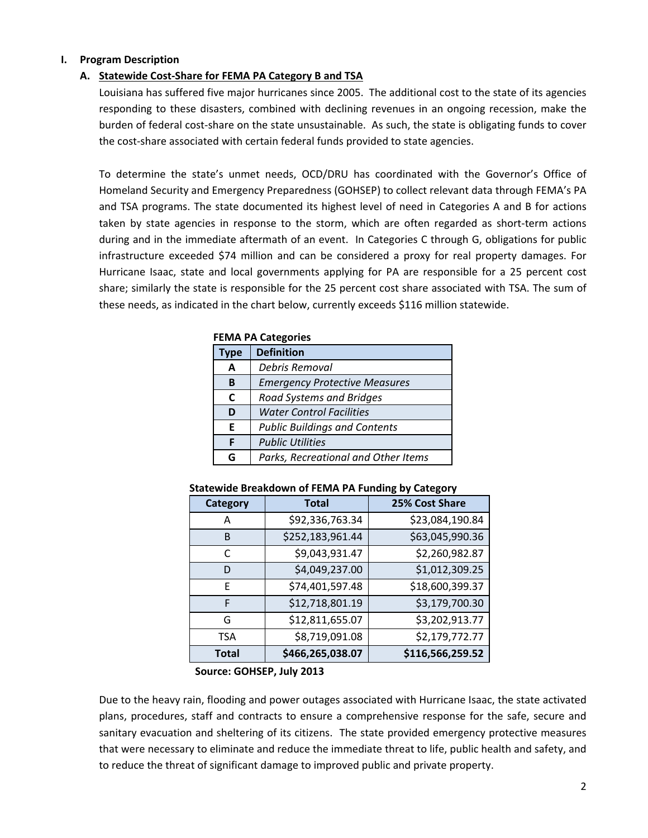#### **I. Program Description**

#### **A. Statewide Cost‐Share for FEMA PA Category B and TSA**

Louisiana has suffered five major hurricanes since 2005. The additional cost to the state of its agencies responding to these disasters, combined with declining revenues in an ongoing recession, make the burden of federal cost‐share on the state unsustainable. As such, the state is obligating funds to cover the cost‐share associated with certain federal funds provided to state agencies.

To determine the state's unmet needs, OCD/DRU has coordinated with the Governor's Office of Homeland Security and Emergency Preparedness (GOHSEP) to collect relevant data through FEMA's PA and TSA programs. The state documented its highest level of need in Categories A and B for actions taken by state agencies in response to the storm, which are often regarded as short-term actions during and in the immediate aftermath of an event. In Categories C through G, obligations for public infrastructure exceeded \$74 million and can be considered a proxy for real property damages. For Hurricane Isaac, state and local governments applying for PA are responsible for a 25 percent cost share; similarly the state is responsible for the 25 percent cost share associated with TSA. The sum of these needs, as indicated in the chart below, currently exceeds \$116 million statewide.

|             | FEMA PA Categories                   |  |
|-------------|--------------------------------------|--|
| <b>Type</b> | <b>Definition</b>                    |  |
| A           | Debris Removal                       |  |
| B           | <b>Emergency Protective Measures</b> |  |
| C           | <b>Road Systems and Bridges</b>      |  |
| D           | <b>Water Control Facilities</b>      |  |
| F           | <b>Public Buildings and Contents</b> |  |
| F           | <b>Public Utilities</b>              |  |
| G           | Parks, Recreational and Other Items  |  |

## **FEMA PA Categories**

#### **Statewide Breakdown of FEMA PA Funding by Category**

| Category | <b>Total</b>     | 25% Cost Share   |
|----------|------------------|------------------|
| А        | \$92,336,763.34  | \$23,084,190.84  |
| B        | \$252,183,961.44 | \$63,045,990.36  |
| C        | \$9,043,931.47   | \$2,260,982.87   |
| D        | \$4,049,237.00   | \$1,012,309.25   |
| F        | \$74,401,597.48  | \$18,600,399.37  |
| F        | \$12,718,801.19  | \$3,179,700.30   |
| G        | \$12,811,655.07  | \$3,202,913.77   |
| TSA      | \$8,719,091.08   | \$2,179,772.77   |
| Total    | \$466,265,038.07 | \$116,566,259.52 |

**Source: GOHSEP, July 2013**

Due to the heavy rain, flooding and power outages associated with Hurricane Isaac, the state activated plans, procedures, staff and contracts to ensure a comprehensive response for the safe, secure and sanitary evacuation and sheltering of its citizens. The state provided emergency protective measures that were necessary to eliminate and reduce the immediate threat to life, public health and safety, and to reduce the threat of significant damage to improved public and private property.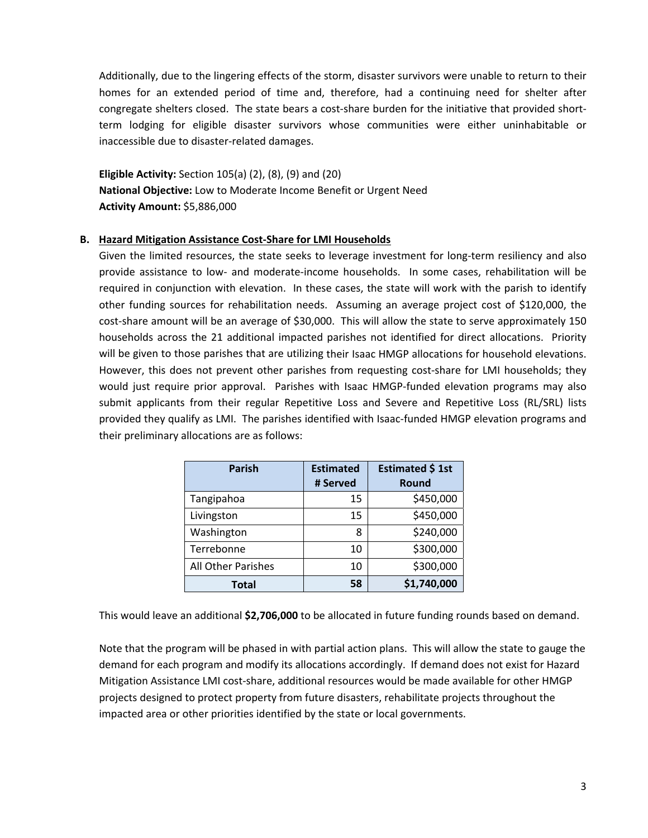Additionally, due to the lingering effects of the storm, disaster survivors were unable to return to their homes for an extended period of time and, therefore, had a continuing need for shelter after congregate shelters closed. The state bears a cost-share burden for the initiative that provided shortterm lodging for eligible disaster survivors whose communities were either uninhabitable or inaccessible due to disaster‐related damages.

**Eligible Activity:** Section 105(a) (2), (8), (9) and (20) **National Objective:** Low to Moderate Income Benefit or Urgent Need **Activity Amount:** \$5,886,000

#### **B. Hazard Mitigation Assistance Cost‐Share for LMI Households**

Given the limited resources, the state seeks to leverage investment for long-term resiliency and also provide assistance to low‐ and moderate‐income households. In some cases, rehabilitation will be required in conjunction with elevation. In these cases, the state will work with the parish to identify other funding sources for rehabilitation needs. Assuming an average project cost of \$120,000, the cost‐share amount will be an average of \$30,000. This will allow the state to serve approximately 150 households across the 21 additional impacted parishes not identified for direct allocations. Priority will be given to those parishes that are utilizing their Isaac HMGP allocations for household elevations. However, this does not prevent other parishes from requesting cost-share for LMI households; they would just require prior approval. Parishes with Isaac HMGP-funded elevation programs may also submit applicants from their regular Repetitive Loss and Severe and Repetitive Loss (RL/SRL) lists provided they qualify as LMI. The parishes identified with Isaac‐funded HMGP elevation programs and their preliminary allocations are as follows:

| <b>Parish</b>      | <b>Estimated</b><br># Served | Estimated \$1st<br><b>Round</b> |
|--------------------|------------------------------|---------------------------------|
| Tangipahoa         | 15                           | \$450,000                       |
| Livingston         | 15                           | \$450,000                       |
| Washington         | 8                            | \$240,000                       |
| Terrebonne         | 10                           | \$300,000                       |
| All Other Parishes | 10                           | \$300,000                       |
| Total              | 58                           | \$1,740,000                     |

This would leave an additional **\$2,706,000** to be allocated in future funding rounds based on demand.

Note that the program will be phased in with partial action plans. This will allow the state to gauge the demand for each program and modify its allocations accordingly. If demand does not exist for Hazard Mitigation Assistance LMI cost‐share, additional resources would be made available for other HMGP projects designed to protect property from future disasters, rehabilitate projects throughout the impacted area or other priorities identified by the state or local governments.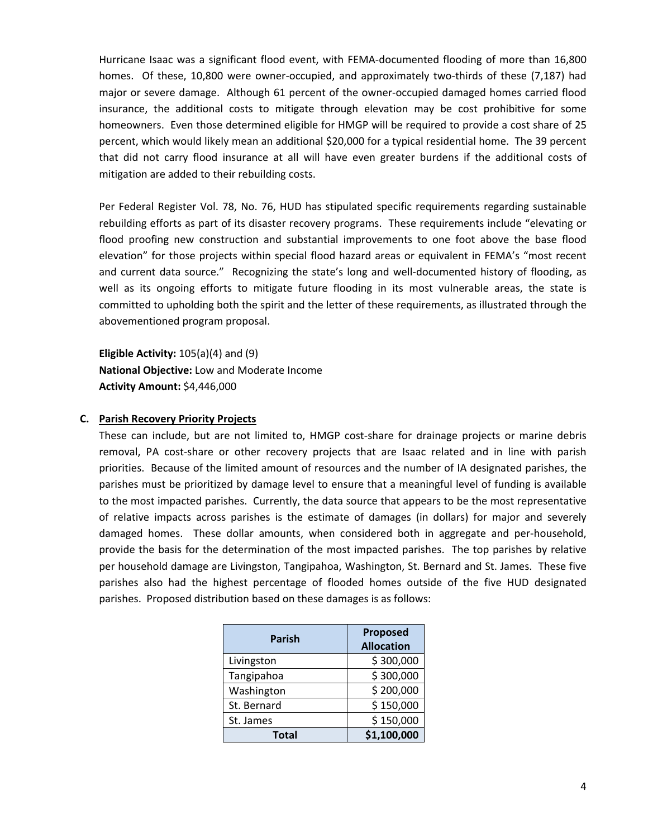Hurricane Isaac was a significant flood event, with FEMA‐documented flooding of more than 16,800 homes. Of these, 10,800 were owner-occupied, and approximately two-thirds of these (7,187) had major or severe damage. Although 61 percent of the owner-occupied damaged homes carried flood insurance, the additional costs to mitigate through elevation may be cost prohibitive for some homeowners. Even those determined eligible for HMGP will be required to provide a cost share of 25 percent, which would likely mean an additional \$20,000 for a typical residential home. The 39 percent that did not carry flood insurance at all will have even greater burdens if the additional costs of mitigation are added to their rebuilding costs.

Per Federal Register Vol. 78, No. 76, HUD has stipulated specific requirements regarding sustainable rebuilding efforts as part of its disaster recovery programs. These requirements include "elevating or flood proofing new construction and substantial improvements to one foot above the base flood elevation" for those projects within special flood hazard areas or equivalent in FEMA's "most recent and current data source." Recognizing the state's long and well-documented history of flooding, as well as its ongoing efforts to mitigate future flooding in its most vulnerable areas, the state is committed to upholding both the spirit and the letter of these requirements, as illustrated through the abovementioned program proposal.

**Eligible Activity:** 105(a)(4) and (9) **National Objective:** Low and Moderate Income **Activity Amount:** \$4,446,000

#### **C. Parish Recovery Priority Projects**

These can include, but are not limited to, HMGP cost‐share for drainage projects or marine debris removal, PA cost-share or other recovery projects that are Isaac related and in line with parish priorities. Because of the limited amount of resources and the number of IA designated parishes, the parishes must be prioritized by damage level to ensure that a meaningful level of funding is available to the most impacted parishes. Currently, the data source that appears to be the most representative of relative impacts across parishes is the estimate of damages (in dollars) for major and severely damaged homes. These dollar amounts, when considered both in aggregate and per-household, provide the basis for the determination of the most impacted parishes. The top parishes by relative per household damage are Livingston, Tangipahoa, Washington, St. Bernard and St. James. These five parishes also had the highest percentage of flooded homes outside of the five HUD designated parishes. Proposed distribution based on these damages is as follows:

| <b>Parish</b> | <b>Proposed</b><br><b>Allocation</b> |  |
|---------------|--------------------------------------|--|
| Livingston    | \$300,000                            |  |
| Tangipahoa    | \$300,000                            |  |
| Washington    | \$200,000                            |  |
| St. Bernard   | \$150,000                            |  |
| St. James     | \$150,000                            |  |
| <b>Total</b>  | \$1,100,000                          |  |